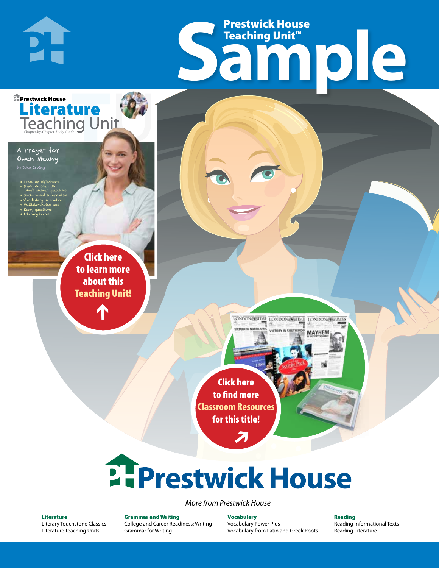## Frestwick House<br>
Sample Prestwick House Teaching Unit™

LONDON-SCITME LONDON/SCITME LONDON/SCITMES

**MAYHEM** 

r e o r d e r n o . x x x x x x Click here to learn more about this [Teaching Unit!](https://www.prestwickhouse.com/pdf/id-201182/Prayer_for_Owen_Meany_A_-_Downloadable_Teaching_Unit)

**A Tale of Two Cities**

**Literature** 

CHARLES DICKENS

• Learning objectives • Study Guide with short-answer questions • Background information • Vocabulary in context • Multiple-choice test • Essay questions • Literary terms

A Prayer for Owen Meany by John Irving

**E** Prestwick House

**PH** 

 $\mathbf{T}$ 

1

Click here to find more [Classroom Resources](http://teaching-english.prestwickhouse.com/search#w=a%20prayer%20for%20owen%20meany)  for this title!

 $\overline{\boldsymbol{\lambda}}$ 

# 2. Prestwick House

*More from Prestwick House*

#### Literature

[Literary Touchstone Classics](https://www.prestwickhouse.com/literary-touchstone-classics) [Literature Teaching Units](https://www.prestwickhouse.com/teaching-units)

Grammar and Writing [College and Career Readiness: Writing](https://www.prestwickhouse.com/college-and-career-readiness-writing) [Grammar for Writing](https://www.prestwickhouse.com/book/id-302639/Grammar_for_Writing_-_30_Books_and_Teachers_Edition)

Vocabulary [Vocabulary Power Plus](https://www.prestwickhouse.com/vocabulary-power-plus-for-college-and-career-readiness) [Vocabulary from Latin and Greek Roots](https://www.prestwickhouse.com/vocabulary-from-latin-and-greek-roots) Reading

[Reading Informational Texts](https://www.prestwickhouse.com/reading-informational-texts) [Reading Literature](https://www.prestwickhouse.com/reading-literature)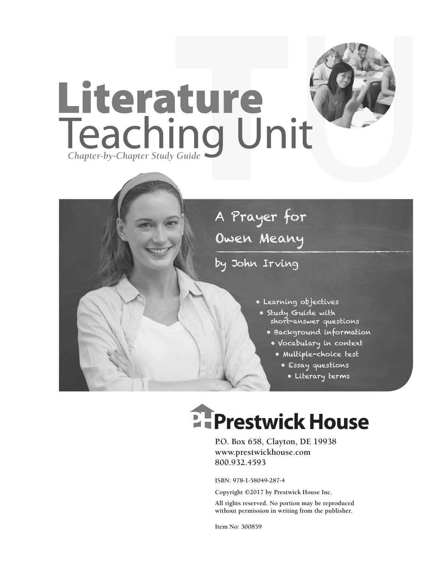



by John Irving

- Learning objectives
- Study Guide with short-answer questions
	- Background information
	- Vocabulary in context
		- Multiple-choice test
			- Essay questions
			- Literary terms

## **E-Prestwick House**

**P.O. Box 658, Clayton, DE 19938 www.prestwickhouse.com 800.932.4593**

**ISBN: 978-1-58049-287-4**

**Copyright ©2017 by Prestwick House Inc.**

**All rights reserved. No portion may be reproduced without permission in writing from the publisher.** 

**Item No: 300859**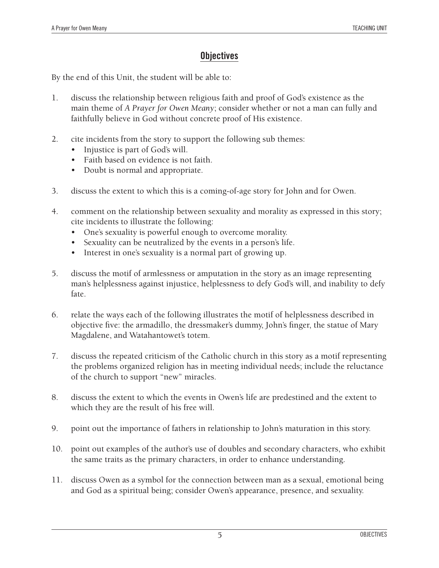### **Objectives**

By the end of this Unit, the student will be able to:

- 1. discuss the relationship between religious faith and proof of God's existence as the main theme of *A Prayer for Owen Meany*; consider whether or not a man can fully and faithfully believe in God without concrete proof of His existence.
- 2. cite incidents from the story to support the following sub themes:
	- Injustice is part of God's will.
	- • Faith based on evidence is not faith.
	- Doubt is normal and appropriate.
- 3. discuss the extent to which this is a coming-of-age story for John and for Owen.
- 4. comment on the relationship between sexuality and morality as expressed in this story; cite incidents to illustrate the following:
	- • One's sexuality is powerful enough to overcome morality.
	- Sexuality can be neutralized by the events in a person's life.
	- Interest in one's sexuality is a normal part of growing up.
- 5. discuss the motif of armlessness or amputation in the story as an image representing man's helplessness against injustice, helplessness to defy God's will, and inability to defy fate.
- 6. relate the ways each of the following illustrates the motif of helplessness described in objective five: the armadillo, the dressmaker's dummy, John's finger, the statue of Mary Magdalene, and Watahantowet's totem.
- 7. discuss the repeated criticism of the Catholic church in this story as a motif representing the problems organized religion has in meeting individual needs; include the reluctance of the church to support "new" miracles.
- 8. discuss the extent to which the events in Owen's life are predestined and the extent to which they are the result of his free will.
- 9. point out the importance of fathers in relationship to John's maturation in this story.
- 10. point out examples of the author's use of doubles and secondary characters, who exhibit the same traits as the primary characters, in order to enhance understanding.
- 11. discuss Owen as a symbol for the connection between man as a sexual, emotional being and God as a spiritual being; consider Owen's appearance, presence, and sexuality.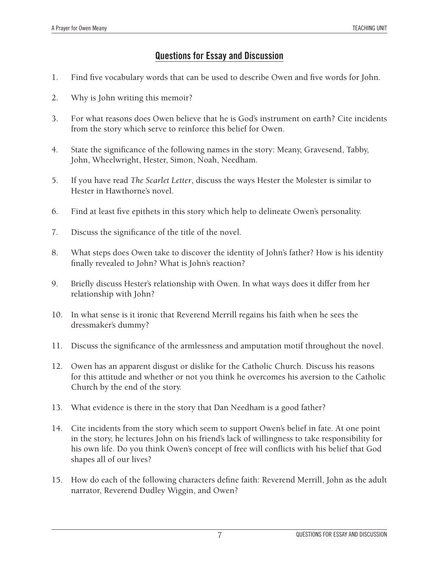### **Questions for Essay and Discussion**

- 1. Find five vocabulary words that can be used to describe Owen and five words for John.
- 2. Why is John writing this memoir?
- 3. For what reasons does Owen believe that he is God's instrument on earth? Cite incidents from the story which serve to reinforce this belief for Owen.
- 4. State the significance of the following names in the story: Meany, Gravesend, Tabby, John, Wheelwright, Hester, Simon, Noah, Needham.
- 5. If you have read *The Scarlet Letter*, discuss the ways Hester the Molester is similar to Hester in Hawthorne's novel.
- 6. Find at least five epithets in this story which help to delineate Owen's personality.
- 7. Discuss the significance of the title of the novel.
- 8. What steps does Owen take to discover the identity of John's father? How is his identity finally revealed to John? What is John's reaction?
- 9. Briefly discuss Hester's relationship with Owen. In what ways does it differ from her relationship with John?
- 10. In what sense is it ironic that Reverend Merrill regains his faith when he sees the dressmaker's dummy?
- 11. Discuss the significance of the armlessness and amputation motif throughout the novel.
- 12. Owen has an apparent disgust or dislike for the Catholic Church. Discuss his reasons for this attitude and whether or not you think he overcomes his aversion to the Catholic Church by the end of the story.
- 13. What evidence is there in the story that Dan Needham is a good father?
- 14. Cite incidents from the story which seem to support Owen's belief in fate. At one point in the story, he lectures John on his friend's lack of willingness to take responsibility for his own life. Do you think Owen's concept of free will conflicts with his belief that God shapes all of our lives?
- 15. How do each of the following characters define faith: Reverend Merrill, John as the adult narrator, Reverend Dudley Wiggin, and Owen?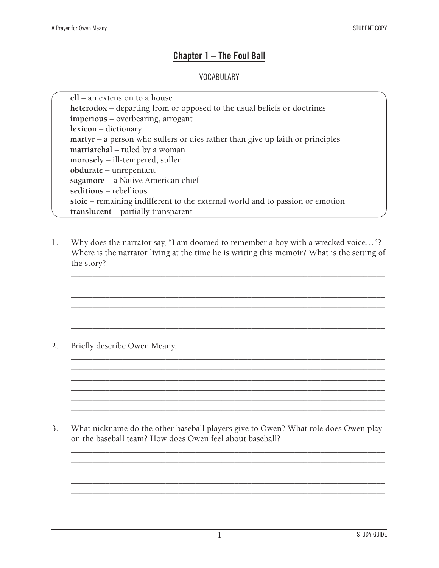#### **Chapter 1 – The Foul Ball**

#### **VOCABULARY**

**ell** – an extension to a house **heterodox** – departing from or opposed to the usual beliefs or doctrines **imperious** – overbearing, arrogant **lexicon** – dictionary **martyr** – a person who suffers or dies rather than give up faith or principles **matriarchal** – ruled by a woman **morosely** – ill-tempered, sullen **obdurate** – unrepentant **sagamore** – a Native American chief **seditious** – rebellious **stoic** – remaining indifferent to the external world and to passion or emotion **translucent** – partially transparent

1. Why does the narrator say, "I am doomed to remember a boy with a wrecked voice…"? Where is the narrator living at the time he is writing this memoir? What is the setting of the story?

*\_\_\_\_\_\_\_\_\_\_\_\_\_\_\_\_\_\_\_\_\_\_\_\_\_\_\_\_\_\_\_\_\_\_\_\_\_\_\_\_\_\_\_\_\_\_\_\_\_\_\_\_\_\_\_\_\_\_\_\_\_\_\_\_\_\_\_\_\_\_\_\_\_ \_\_\_\_\_\_\_\_\_\_\_\_\_\_\_\_\_\_\_\_\_\_\_\_\_\_\_\_\_\_\_\_\_\_\_\_\_\_\_\_\_\_\_\_\_\_\_\_\_\_\_\_\_\_\_\_\_\_\_\_\_\_\_\_\_\_\_\_\_\_\_\_\_ \_\_\_\_\_\_\_\_\_\_\_\_\_\_\_\_\_\_\_\_\_\_\_\_\_\_\_\_\_\_\_\_\_\_\_\_\_\_\_\_\_\_\_\_\_\_\_\_\_\_\_\_\_\_\_\_\_\_\_\_\_\_\_\_\_\_\_\_\_\_\_\_\_ \_\_\_\_\_\_\_\_\_\_\_\_\_\_\_\_\_\_\_\_\_\_\_\_\_\_\_\_\_\_\_\_\_\_\_\_\_\_\_\_\_\_\_\_\_\_\_\_\_\_\_\_\_\_\_\_\_\_\_\_\_\_\_\_\_\_\_\_\_\_\_\_\_ \_\_\_\_\_\_\_\_\_\_\_\_\_\_\_\_\_\_\_\_\_\_\_\_\_\_\_\_\_\_\_\_\_\_\_\_\_\_\_\_\_\_\_\_\_\_\_\_\_\_\_\_\_\_\_\_\_\_\_\_\_\_\_\_\_\_\_\_\_\_\_\_\_ \_\_\_\_\_\_\_\_\_\_\_\_\_\_\_\_\_\_\_\_\_\_\_\_\_\_\_\_\_\_\_\_\_\_\_\_\_\_\_\_\_\_\_\_\_\_\_\_\_\_\_\_\_\_\_\_\_\_\_\_\_\_\_\_\_\_\_\_\_\_\_\_\_*

*\_\_\_\_\_\_\_\_\_\_\_\_\_\_\_\_\_\_\_\_\_\_\_\_\_\_\_\_\_\_\_\_\_\_\_\_\_\_\_\_\_\_\_\_\_\_\_\_\_\_\_\_\_\_\_\_\_\_\_\_\_\_\_\_\_\_\_\_\_\_\_\_\_ \_\_\_\_\_\_\_\_\_\_\_\_\_\_\_\_\_\_\_\_\_\_\_\_\_\_\_\_\_\_\_\_\_\_\_\_\_\_\_\_\_\_\_\_\_\_\_\_\_\_\_\_\_\_\_\_\_\_\_\_\_\_\_\_\_\_\_\_\_\_\_\_\_ \_\_\_\_\_\_\_\_\_\_\_\_\_\_\_\_\_\_\_\_\_\_\_\_\_\_\_\_\_\_\_\_\_\_\_\_\_\_\_\_\_\_\_\_\_\_\_\_\_\_\_\_\_\_\_\_\_\_\_\_\_\_\_\_\_\_\_\_\_\_\_\_\_ \_\_\_\_\_\_\_\_\_\_\_\_\_\_\_\_\_\_\_\_\_\_\_\_\_\_\_\_\_\_\_\_\_\_\_\_\_\_\_\_\_\_\_\_\_\_\_\_\_\_\_\_\_\_\_\_\_\_\_\_\_\_\_\_\_\_\_\_\_\_\_\_\_ \_\_\_\_\_\_\_\_\_\_\_\_\_\_\_\_\_\_\_\_\_\_\_\_\_\_\_\_\_\_\_\_\_\_\_\_\_\_\_\_\_\_\_\_\_\_\_\_\_\_\_\_\_\_\_\_\_\_\_\_\_\_\_\_\_\_\_\_\_\_\_\_\_ \_\_\_\_\_\_\_\_\_\_\_\_\_\_\_\_\_\_\_\_\_\_\_\_\_\_\_\_\_\_\_\_\_\_\_\_\_\_\_\_\_\_\_\_\_\_\_\_\_\_\_\_\_\_\_\_\_\_\_\_\_\_\_\_\_\_\_\_\_\_\_\_\_*

2. Briefly describe Owen Meany.

3. What nickname do the other baseball players give to Owen? What role does Owen play on the baseball team? How does Owen feel about baseball?

*\_\_\_\_\_\_\_\_\_\_\_\_\_\_\_\_\_\_\_\_\_\_\_\_\_\_\_\_\_\_\_\_\_\_\_\_\_\_\_\_\_\_\_\_\_\_\_\_\_\_\_\_\_\_\_\_\_\_\_\_\_\_\_\_\_\_\_\_\_\_\_\_\_ \_\_\_\_\_\_\_\_\_\_\_\_\_\_\_\_\_\_\_\_\_\_\_\_\_\_\_\_\_\_\_\_\_\_\_\_\_\_\_\_\_\_\_\_\_\_\_\_\_\_\_\_\_\_\_\_\_\_\_\_\_\_\_\_\_\_\_\_\_\_\_\_\_ \_\_\_\_\_\_\_\_\_\_\_\_\_\_\_\_\_\_\_\_\_\_\_\_\_\_\_\_\_\_\_\_\_\_\_\_\_\_\_\_\_\_\_\_\_\_\_\_\_\_\_\_\_\_\_\_\_\_\_\_\_\_\_\_\_\_\_\_\_\_\_\_\_ \_\_\_\_\_\_\_\_\_\_\_\_\_\_\_\_\_\_\_\_\_\_\_\_\_\_\_\_\_\_\_\_\_\_\_\_\_\_\_\_\_\_\_\_\_\_\_\_\_\_\_\_\_\_\_\_\_\_\_\_\_\_\_\_\_\_\_\_\_\_\_\_\_ \_\_\_\_\_\_\_\_\_\_\_\_\_\_\_\_\_\_\_\_\_\_\_\_\_\_\_\_\_\_\_\_\_\_\_\_\_\_\_\_\_\_\_\_\_\_\_\_\_\_\_\_\_\_\_\_\_\_\_\_\_\_\_\_\_\_\_\_\_\_\_\_\_ \_\_\_\_\_\_\_\_\_\_\_\_\_\_\_\_\_\_\_\_\_\_\_\_\_\_\_\_\_\_\_\_\_\_\_\_\_\_\_\_\_\_\_\_\_\_\_\_\_\_\_\_\_\_\_\_\_\_\_\_\_\_\_\_\_\_\_\_\_\_\_\_\_*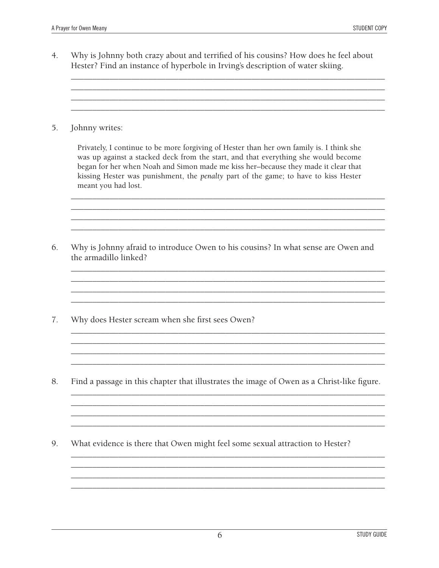$4.$ Why is Johnny both crazy about and terrified of his cousins? How does he feel about Hester? Find an instance of hyperbole in Irving's description of water skiing.

5. Johnny writes:

> Privately, I continue to be more forgiving of Hester than her own family is. I think she was up against a stacked deck from the start, and that everything she would become began for her when Noah and Simon made me kiss her-because they made it clear that kissing Hester was punishment, the penalty part of the game; to have to kiss Hester meant you had lost.

- 6. Why is Johnny afraid to introduce Owen to his cousins? In what sense are Owen and the armadillo linked?
- 7. Why does Hester scream when she first sees Owen?
- 8. Find a passage in this chapter that illustrates the image of Owen as a Christ-like figure.

9. What evidence is there that Owen might feel some sexual attraction to Hester?